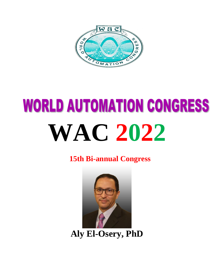

## **WORLD AUTOMATION CONGRESS WAC 2022**

**15th Bi-annual Congress**



**Aly El-Osery, PhD**